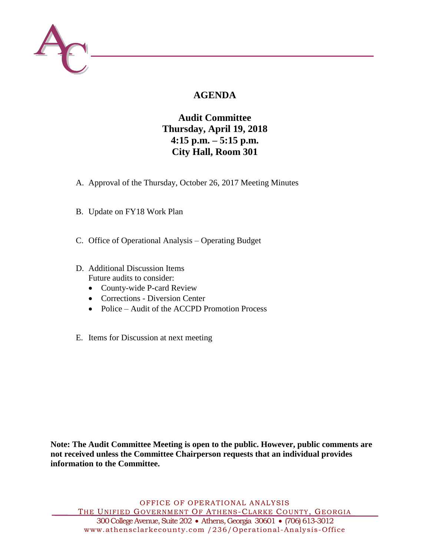

# **AGENDA**

## **Audit Committee Thursday, April 19, 2018 4:15 p.m. – 5:15 p.m. City Hall, Room 301**

- A. Approval of the Thursday, October 26, 2017 Meeting Minutes
- B. Update on FY18 Work Plan
- C. Office of Operational Analysis Operating Budget
- D. Additional Discussion Items Future audits to consider:
	- County-wide P-card Review
	- Corrections Diversion Center
	- Police Audit of the ACCPD Promotion Process
- E. Items for Discussion at next meeting

**Note: The Audit Committee Meeting is open to the public. However, public comments are not received unless the Committee Chairperson requests that an individual provides information to the Committee.**